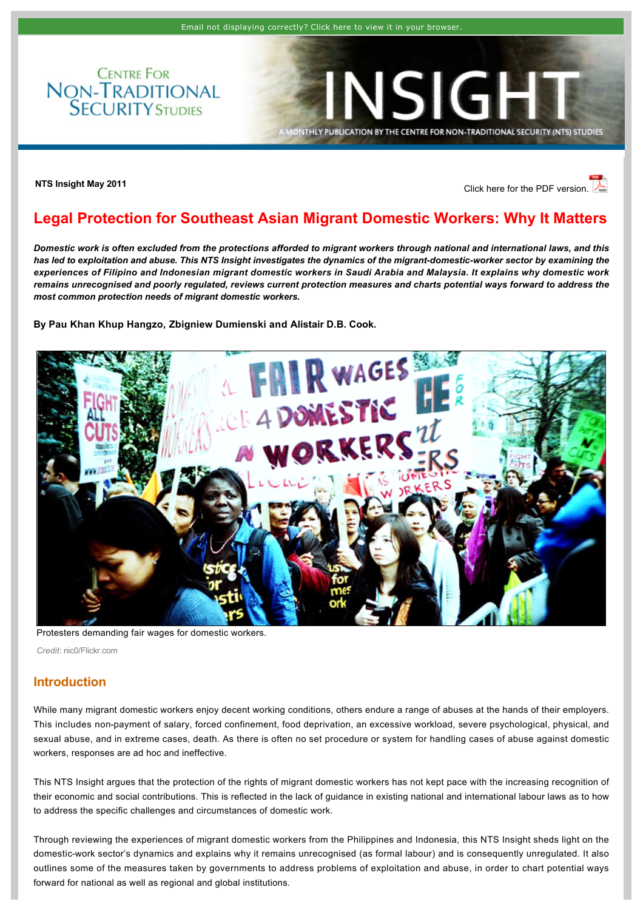**CENTRE FOR** NON-TRADITIONAL<br>SECURITY STUDIES

# **NTS Insight May 2011 [Click here for the PDF version.](http://www.rsis.edu.sg/nts/HTML-Newsletter/Insight/pdf/NTS_Insight_may_1101.pdf)**

INSIGH

NTHLY PUBLICATION BY THE CENTRE FOR NON-TRADITIONAL SECURITY (NTS) STUDIES

# <span id="page-0-0"></span>**Legal Protection for Southeast Asian Migrant Domestic Workers: Why It Matters**

*Domestic work is often excluded from the protections afforded to migrant workers through national and international laws, and this*  has led to exploitation and abuse. This NTS Insight investigates the dynamics of the migrant-domestic-worker sector by examining the *experiences of Filipino and Indonesian migrant domestic workers in Saudi Arabia and Malaysia. It explains why domestic work remains unrecognised and poorly regulated, reviews current protection measures and charts potential ways forward to address the most common protection needs of migrant domestic workers.* 

### **By [Pau Khan Khup Hangzo,](http://www.rsis.edu.sg/nts/people.asp?sid=72&prev=people) [Zbigniew Dumienski](http://www.rsis.edu.sg/nts/people.asp?sid=176&prev=people) and [Alistair D.B. Cook.](http://www.rsis.edu.sg/nts/people.asp?sid=63&prev=people)**



Protesters demanding fair wages for domestic workers.

*Credit*: nic0/Flickr.com

### **Introduction**

While many migrant domestic workers enjoy decent working conditions, others endure a range of abuses at the hands of their employers. This includes non-payment of salary, forced confinement, food deprivation, an excessive workload, severe psychological, physical, and sexual abuse, and in extreme cases, death. As there is often no set procedure or system for handling cases of abuse against domestic workers, responses are ad hoc and ineffective.

This NTS Insight argues that the protection of the rights of migrant domestic workers has not kept pace with the increasing recognition of their economic and social contributions. This is reflected in the lack of guidance in existing national and international labour laws as to how to address the specific challenges and circumstances of domestic work.

Through reviewing the experiences of migrant domestic workers from the Philippines and Indonesia, this NTS Insight sheds light on the domesticwork sector's dynamics and explains why it remains unrecognised (as formal labour) and is consequently unregulated. It also outlines some of the measures taken by governments to address problems of exploitation and abuse, in order to chart potential ways forward for national as well as regional and global institutions.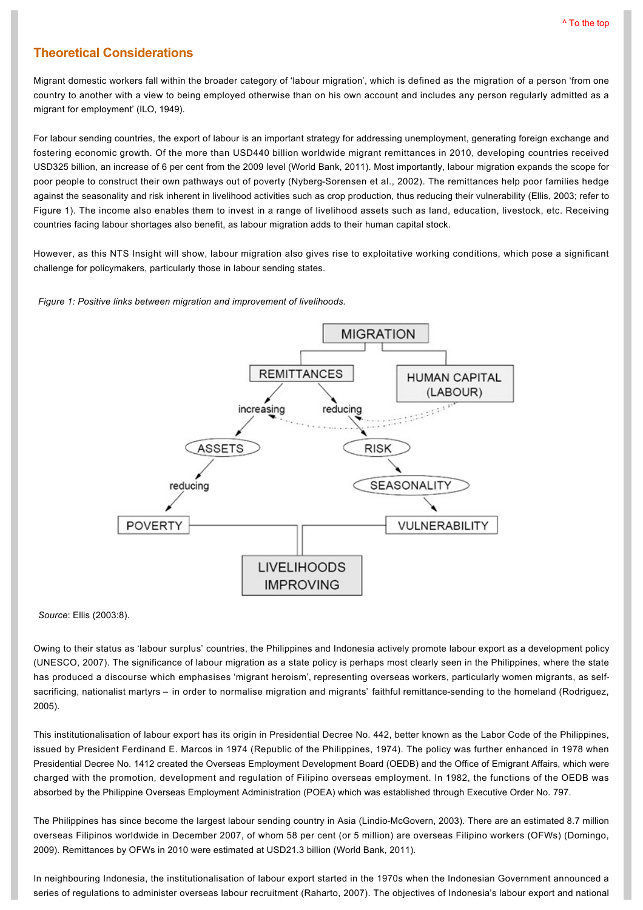# **Theoretical Considerations**

Migrant domestic workers fall within the broader category of 'labour migration', which is defined as the migration of a person 'from one country to another with a view to being employed otherwise than on his own account and includes any person regularly admitted as a migrant for employment' (ILO, 1949).

For labour sending countries, the export of labour is an important strategy for addressing unemployment, generating foreign exchange and fostering economic growth. Of the more than USD440 billion worldwide migrant remittances in 2010, developing countries received USD325 billion, an increase of 6 per cent from the 2009 level (World Bank, 2011). Most importantly, labour migration expands the scope for poor people to construct their own pathways out of poverty (Nyberg-Sorensen et al., 2002). The remittances help poor families hedge against the seasonality and risk inherent in livelihood activities such as crop production, thus reducing their vulnerability (Ellis, 2003; refer to Figure 1). The income also enables them to invest in a range of livelihood assets such as land, education, livestock, etc. Receiving countries facing labour shortages also benefit, as labour migration adds to their human capital stock.

However, as this NTS Insight will show, labour migration also gives rise to exploitative working conditions, which pose a significant challenge for policymakers, particularly those in labour sending states.

### *Figure 1: Positive links between migration and improvement of livelihoods.*



*Source*: Ellis (2003:8).

Owing to their status as 'labour surplus' countries, the Philippines and Indonesia actively promote labour export as a development policy (UNESCO, 2007). The significance of labour migration as a state policy is perhaps most clearly seen in the Philippines, where the state has produced a discourse which emphasises 'migrant heroism', representing overseas workers, particularly women migrants, as selfsacrificing, nationalist martyrs – in order to normalise migration and migrants' faithful remittance-sending to the homeland (Rodriguez, 2005).

This institutionalisation of labour export has its origin in Presidential Decree No. 442, better known as the Labor Code of the Philippines, issued by President Ferdinand E. Marcos in 1974 (Republic of the Philippines, 1974). The policy was further enhanced in 1978 when Presidential Decree No. 1412 created the Overseas Employment Development Board (OEDB) and the Office of Emigrant Affairs, which were charged with the promotion, development and regulation of Filipino overseas employment. In 1982, the functions of the OEDB was absorbed by the Philippine Overseas Employment Administration (POEA) which was established through Executive Order No. 797.

The Philippines has since become the largest labour sending country in Asia (Lindio-McGovern, 2003). There are an estimated 8.7 million overseas Filipinos worldwide in December 2007, of whom 58 per cent (or 5 million) are overseas Filipino workers (OFWs) (Domingo, 2009). Remittances by OFWs in 2010 were estimated at USD21.3 billion (World Bank, 2011).

In neighbouring Indonesia, the institutionalisation of labour export started in the 1970s when the Indonesian Government announced a series of regulations to administer overseas labour recruitment (Raharto, 2007). The objectives of Indonesia's labour export and national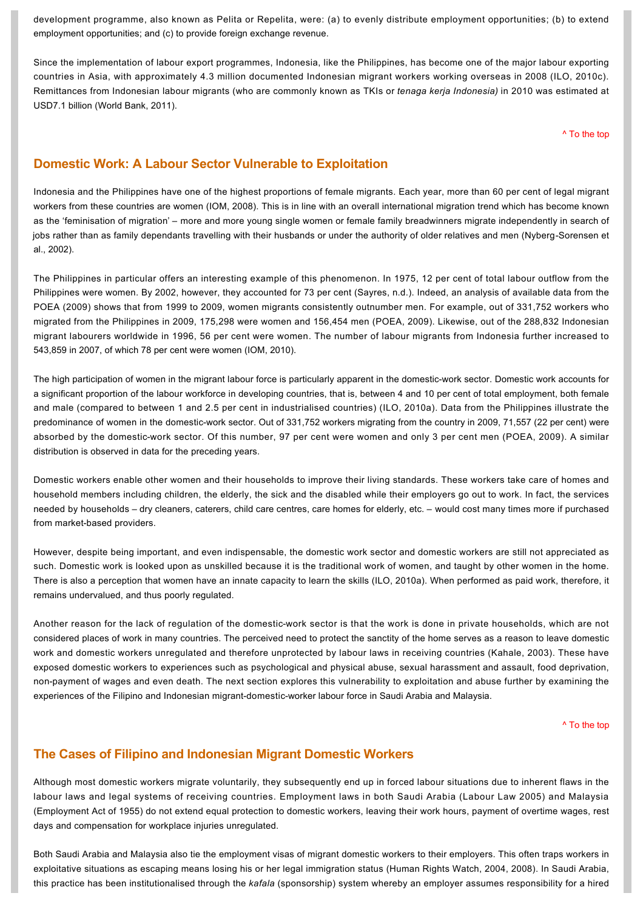development programme, also known as Pelita or Repelita, were: (a) to evenly distribute employment opportunities; (b) to extend employment opportunities; and (c) to provide foreign exchange revenue.

Since the implementation of labour export programmes, Indonesia, like the Philippines, has become one of the major labour exporting countries in Asia, with approximately 4.3 million documented Indonesian migrant workers working overseas in 2008 (ILO, 2010c). Remittances from Indonesian labour migrants (who are commonly known as TKIs or *tenaga kerja Indonesia)* in 2010 was estimated at USD7.1 billion (World Bank, 2011).

[^ To the top](#page-0-0)

# **Domestic Work: A Labour Sector Vulnerable to Exploitation**

Indonesia and the Philippines have one of the highest proportions of female migrants. Each year, more than 60 per cent of legal migrant workers from these countries are women (IOM, 2008). This is in line with an overall international migration trend which has become known as the 'feminisation of migration' – more and more young single women or female family breadwinners migrate independently in search of jobs rather than as family dependants travelling with their husbands or under the authority of older relatives and men (Nyberg-Sorensen et al., 2002).

The Philippines in particular offers an interesting example of this phenomenon. In 1975, 12 per cent of total labour outflow from the Philippines were women. By 2002, however, they accounted for 73 per cent (Sayres, n.d.). Indeed, an analysis of available data from the POEA (2009) shows that from 1999 to 2009, women migrants consistently outnumber men. For example, out of 331,752 workers who migrated from the Philippines in 2009, 175,298 were women and 156,454 men (POEA, 2009). Likewise, out of the 288,832 Indonesian migrant labourers worldwide in 1996, 56 per cent were women. The number of labour migrants from Indonesia further increased to 543,859 in 2007, of which 78 per cent were women (IOM, 2010).

The high participation of women in the migrant labour force is particularly apparent in the domestic-work sector. Domestic work accounts for a significant proportion of the labour workforce in developing countries, that is, between 4 and 10 per cent of total employment, both female and male (compared to between 1 and 2.5 per cent in industrialised countries) (ILO, 2010a). Data from the Philippines illustrate the predominance of women in the domestic-work sector. Out of 331,752 workers migrating from the country in 2009, 71,557 (22 per cent) were absorbed by the domesticwork sector. Of this number, 97 per cent were women and only 3 per cent men (POEA, 2009). A similar distribution is observed in data for the preceding years.

Domestic workers enable other women and their households to improve their living standards. These workers take care of homes and household members including children, the elderly, the sick and the disabled while their employers go out to work. In fact, the services needed by households – dry cleaners, caterers, child care centres, care homes for elderly, etc. – would cost many times more if purchased from market-based providers.

However, despite being important, and even indispensable, the domestic work sector and domestic workers are still not appreciated as such. Domestic work is looked upon as unskilled because it is the traditional work of women, and taught by other women in the home. There is also a perception that women have an innate capacity to learn the skills (ILO, 2010a). When performed as paid work, therefore, it remains undervalued, and thus poorly regulated.

Another reason for the lack of regulation of the domesticwork sector is that the work is done in private households, which are not considered places of work in many countries. The perceived need to protect the sanctity of the home serves as a reason to leave domestic work and domestic workers unregulated and therefore unprotected by labour laws in receiving countries (Kahale, 2003). These have exposed domestic workers to experiences such as psychological and physical abuse, sexual harassment and assault, food deprivation, non-payment of wages and even death. The next section explores this vulnerability to exploitation and abuse further by examining the experiences of the Filipino and Indonesian migrant-domestic-worker labour force in Saudi Arabia and Malaysia.

[^ To the top](#page-0-0)

# **The Cases of Filipino and Indonesian Migrant Domestic Workers**

Although most domestic workers migrate voluntarily, they subsequently end up in forced labour situations due to inherent flaws in the labour laws and legal systems of receiving countries. Employment laws in both Saudi Arabia (Labour Law 2005) and Malaysia (Employment Act of 1955) do not extend equal protection to domestic workers, leaving their work hours, payment of overtime wages, rest days and compensation for workplace injuries unregulated.

Both Saudi Arabia and Malaysia also tie the employment visas of migrant domestic workers to their employers. This often traps workers in exploitative situations as escaping means losing his or her legal immigration status (Human Rights Watch, 2004, 2008). In Saudi Arabia, this practice has been institutionalised through the *kafala* (sponsorship) system whereby an employer assumes responsibility for a hired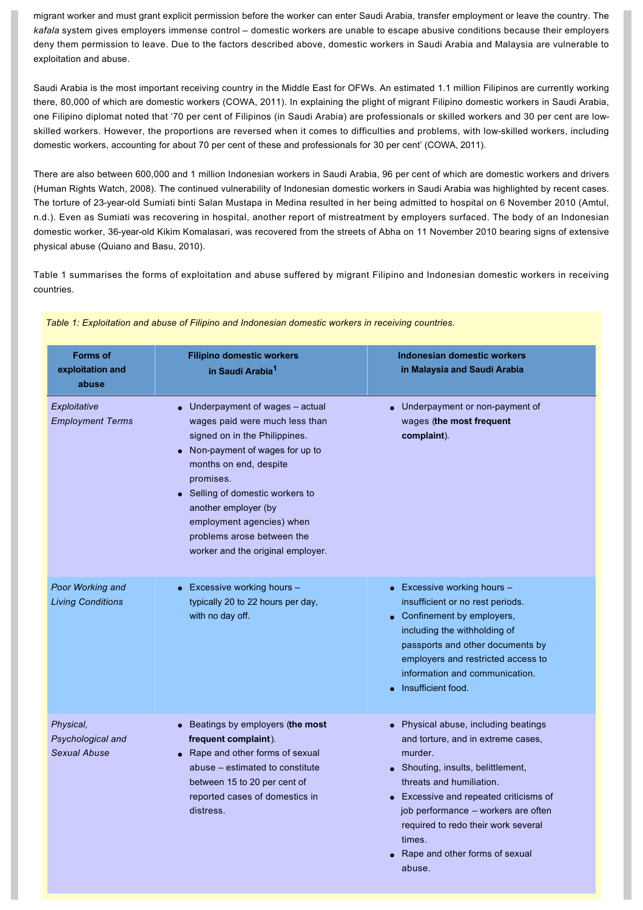migrant worker and must grant explicit permission before the worker can enter Saudi Arabia, transfer employment or leave the country. The *kafala* system gives employers immense control – domestic workers are unable to escape abusive conditions because their employers deny them permission to leave. Due to the factors described above, domestic workers in Saudi Arabia and Malaysia are vulnerable to exploitation and abuse.

Saudi Arabia is the most important receiving country in the Middle East for OFWs. An estimated 1.1 million Filipinos are currently working there, 80,000 of which are domestic workers (COWA, 2011). In explaining the plight of migrant Filipino domestic workers in Saudi Arabia, one Filipino diplomat noted that '70 per cent of Filipinos (in Saudi Arabia) are professionals or skilled workers and 30 per cent are lowskilled workers. However, the proportions are reversed when it comes to difficulties and problems, with lowskilled workers, including domestic workers, accounting for about 70 per cent of these and professionals for 30 per cent' (COWA, 2011).

There are also between 600,000 and 1 million Indonesian workers in Saudi Arabia, 96 per cent of which are domestic workers and drivers (Human Rights Watch, 2008). The continued vulnerability of Indonesian domestic workers in Saudi Arabia was highlighted by recent cases. The torture of 23-year-old Sumiati binti Salan Mustapa in Medina resulted in her being admitted to hospital on 6 November 2010 (Amtul, n.d.). Even as Sumiati was recovering in hospital, another report of mistreatment by employers surfaced. The body of an Indonesian domestic worker, 36-year-old Kikim Komalasari, was recovered from the streets of Abha on 11 November 2010 bearing signs of extensive physical abuse (Quiano and Basu, 2010).

Table 1 summarises the forms of exploitation and abuse suffered by migrant Filipino and Indonesian domestic workers in receiving countries.

| <b>Forms of</b><br>exploitation and<br>abuse          | <b>Filipino domestic workers</b><br>in Saudi Arabia <sup>1</sup>                                                                                                                                                                                                                                                                                 | Indonesian domestic workers<br>in Malaysia and Saudi Arabia                                                                                                                                                                                                                                                                           |
|-------------------------------------------------------|--------------------------------------------------------------------------------------------------------------------------------------------------------------------------------------------------------------------------------------------------------------------------------------------------------------------------------------------------|---------------------------------------------------------------------------------------------------------------------------------------------------------------------------------------------------------------------------------------------------------------------------------------------------------------------------------------|
| Exploitative<br><b>Employment Terms</b>               | $\bullet$ Underpayment of wages - actual<br>wages paid were much less than<br>signed on in the Philippines.<br>Non-payment of wages for up to<br>months on end, despite<br>promises.<br>• Selling of domestic workers to<br>another employer (by<br>employment agencies) when<br>problems arose between the<br>worker and the original employer. | • Underpayment or non-payment of<br>wages (the most frequent<br>complaint).                                                                                                                                                                                                                                                           |
| Poor Working and<br><b>Living Conditions</b>          | • Excessive working hours $-$<br>typically 20 to 22 hours per day,<br>with no day off.                                                                                                                                                                                                                                                           | • Excessive working hours $-$<br>insufficient or no rest periods.<br>$\bullet$ Confinement by employers,<br>including the withholding of<br>passports and other documents by<br>employers and restricted access to<br>information and communication.<br>Insufficient food.                                                            |
| Physical,<br>Psychological and<br><b>Sexual Abuse</b> | Beatings by employers (the most<br>frequent complaint).<br>• Rape and other forms of sexual<br>abuse – estimated to constitute<br>between 15 to 20 per cent of<br>reported cases of domestics in<br>distress.                                                                                                                                    | • Physical abuse, including beatings<br>and torture, and in extreme cases,<br>murder.<br>• Shouting, insults, belittlement,<br>threats and humiliation.<br>• Excessive and repeated criticisms of<br>job performance – workers are often<br>required to redo their work several<br>times.<br>Rape and other forms of sexual<br>abuse. |

*Table 1: Exploitation and abuse of Filipino and Indonesian domestic workers in receiving countries.*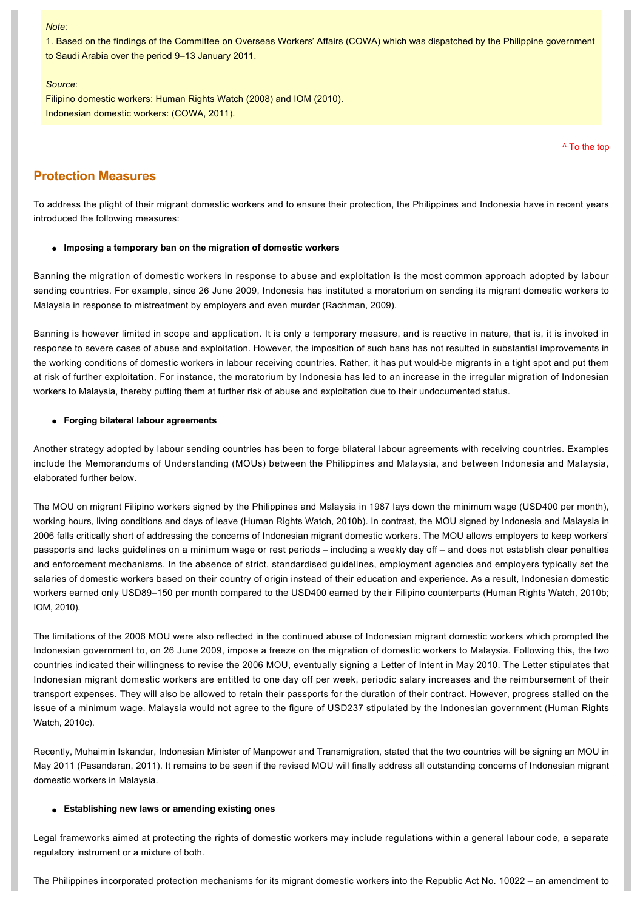#### *Note:*

1. Based on the findings of the Committee on Overseas Workers' Affairs (COWA) which was dispatched by the Philippine government to Saudi Arabia over the period 9–13 January 2011.

#### *Source*:

Filipino domestic workers: Human Rights Watch (2008) and IOM (2010). Indonesian domestic workers: (COWA, 2011).

[^ To the top](#page-0-0)

## **Protection Measures**

To address the plight of their migrant domestic workers and to ensure their protection, the Philippines and Indonesia have in recent years introduced the following measures:

#### $\bullet$  Imposing a temporary ban on the migration of domestic workers

Banning the migration of domestic workers in response to abuse and exploitation is the most common approach adopted by labour sending countries. For example, since 26 June 2009, Indonesia has instituted a moratorium on sending its migrant domestic workers to Malaysia in response to mistreatment by employers and even murder (Rachman, 2009).

Banning is however limited in scope and application. It is only a temporary measure, and is reactive in nature, that is, it is invoked in response to severe cases of abuse and exploitation. However, the imposition of such bans has not resulted in substantial improvements in the working conditions of domestic workers in labour receiving countries. Rather, it has put would-be migrants in a tight spot and put them at risk of further exploitation. For instance, the moratorium by Indonesia has led to an increase in the irregular migration of Indonesian workers to Malaysia, thereby putting them at further risk of abuse and exploitation due to their undocumented status.

### **e** Forging bilateral labour agreements

Another strategy adopted by labour sending countries has been to forge bilateral labour agreements with receiving countries. Examples include the Memorandums of Understanding (MOUs) between the Philippines and Malaysia, and between Indonesia and Malaysia, elaborated further below.

The MOU on migrant Filipino workers signed by the Philippines and Malaysia in 1987 lays down the minimum wage (USD400 per month), working hours, living conditions and days of leave (Human Rights Watch, 2010b). In contrast, the MOU signed by Indonesia and Malaysia in 2006 falls critically short of addressing the concerns of Indonesian migrant domestic workers. The MOU allows employers to keep workers' passports and lacks guidelines on a minimum wage or rest periods – including a weekly day off – and does not establish clear penalties and enforcement mechanisms. In the absence of strict, standardised guidelines, employment agencies and employers typically set the salaries of domestic workers based on their country of origin instead of their education and experience. As a result, Indonesian domestic workers earned only USD89–150 per month compared to the USD400 earned by their Filipino counterparts (Human Rights Watch, 2010b; IOM, 2010).

The limitations of the 2006 MOU were also reflected in the continued abuse of Indonesian migrant domestic workers which prompted the Indonesian government to, on 26 June 2009, impose a freeze on the migration of domestic workers to Malaysia. Following this, the two countries indicated their willingness to revise the 2006 MOU, eventually signing a Letter of Intent in May 2010. The Letter stipulates that Indonesian migrant domestic workers are entitled to one day off per week, periodic salary increases and the reimbursement of their transport expenses. They will also be allowed to retain their passports for the duration of their contract. However, progress stalled on the issue of a minimum wage. Malaysia would not agree to the figure of USD237 stipulated by the Indonesian government (Human Rights Watch, 2010c).

Recently, Muhaimin Iskandar, Indonesian Minister of Manpower and Transmigration, stated that the two countries will be signing an MOU in May 2011 (Pasandaran, 2011). It remains to be seen if the revised MOU will finally address all outstanding concerns of Indonesian migrant domestic workers in Malaysia.

#### **e** Establishing new laws or amending existing ones

Legal frameworks aimed at protecting the rights of domestic workers may include regulations within a general labour code, a separate regulatory instrument or a mixture of both.

The Philippines incorporated protection mechanisms for its migrant domestic workers into the Republic Act No. 10022 – an amendment to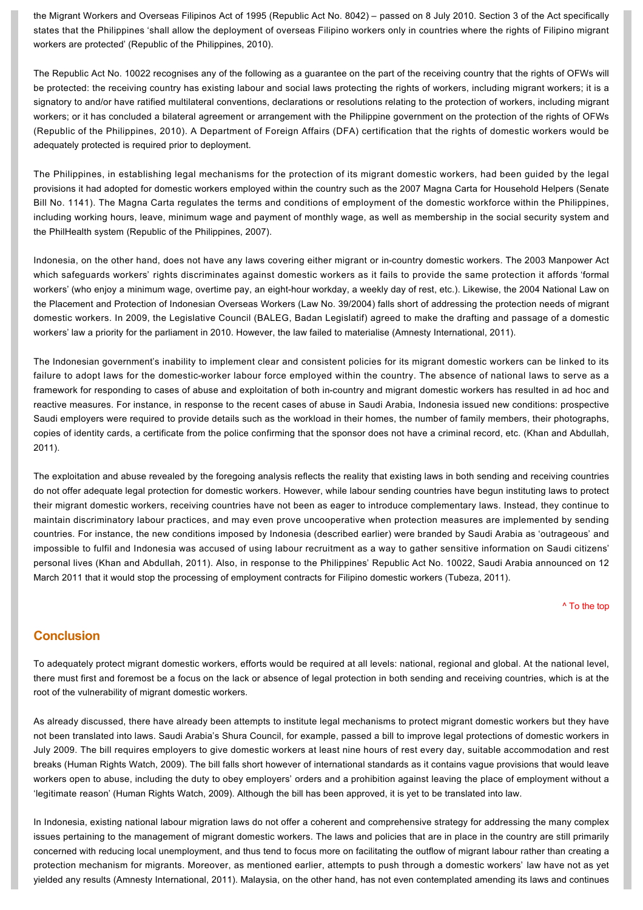the Migrant Workers and Overseas Filipinos Act of 1995 (Republic Act No. 8042) – passed on 8 July 2010. Section 3 of the Act specifically states that the Philippines 'shall allow the deployment of overseas Filipino workers only in countries where the rights of Filipino migrant workers are protected' (Republic of the Philippines, 2010).

The Republic Act No. 10022 recognises any of the following as a guarantee on the part of the receiving country that the rights of OFWs will be protected: the receiving country has existing labour and social laws protecting the rights of workers, including migrant workers; it is a signatory to and/or have ratified multilateral conventions, declarations or resolutions relating to the protection of workers, including migrant workers; or it has concluded a bilateral agreement or arrangement with the Philippine government on the protection of the rights of OFWs (Republic of the Philippines, 2010). A Department of Foreign Affairs (DFA) certification that the rights of domestic workers would be adequately protected is required prior to deployment.

The Philippines, in establishing legal mechanisms for the protection of its migrant domestic workers, had been guided by the legal provisions it had adopted for domestic workers employed within the country such as the 2007 Magna Carta for Household Helpers (Senate Bill No. 1141). The Magna Carta regulates the terms and conditions of employment of the domestic workforce within the Philippines, including working hours, leave, minimum wage and payment of monthly wage, as well as membership in the social security system and the PhilHealth system (Republic of the Philippines, 2007).

Indonesia, on the other hand, does not have any laws covering either migrant or in-country domestic workers. The 2003 Manpower Act which safeguards workers' rights discriminates against domestic workers as it fails to provide the same protection it affords 'formal workers' (who enjoy a minimum wage, overtime pay, an eight-hour workday, a weekly day of rest, etc.). Likewise, the 2004 National Law on the Placement and Protection of Indonesian Overseas Workers (Law No. 39/2004) falls short of addressing the protection needs of migrant domestic workers. In 2009, the Legislative Council (BALEG, Badan Legislatif) agreed to make the drafting and passage of a domestic workers' law a priority for the parliament in 2010. However, the law failed to materialise (Amnesty International, 2011).

The Indonesian government's inability to implement clear and consistent policies for its migrant domestic workers can be linked to its failure to adopt laws for the domestic-worker labour force employed within the country. The absence of national laws to serve as a framework for responding to cases of abuse and exploitation of both in-country and migrant domestic workers has resulted in ad hoc and reactive measures. For instance, in response to the recent cases of abuse in Saudi Arabia, Indonesia issued new conditions: prospective Saudi employers were required to provide details such as the workload in their homes, the number of family members, their photographs, copies of identity cards, a certificate from the police confirming that the sponsor does not have a criminal record, etc. (Khan and Abdullah, 2011).

The exploitation and abuse revealed by the foregoing analysis reflects the reality that existing laws in both sending and receiving countries do not offer adequate legal protection for domestic workers. However, while labour sending countries have begun instituting laws to protect their migrant domestic workers, receiving countries have not been as eager to introduce complementary laws. Instead, they continue to maintain discriminatory labour practices, and may even prove uncooperative when protection measures are implemented by sending countries. For instance, the new conditions imposed by Indonesia (described earlier) were branded by Saudi Arabia as 'outrageous' and impossible to fulfil and Indonesia was accused of using labour recruitment as a way to gather sensitive information on Saudi citizens' personal lives (Khan and Abdullah, 2011). Also, in response to the Philippines' Republic Act No. 10022, Saudi Arabia announced on 12 March 2011 that it would stop the processing of employment contracts for Filipino domestic workers (Tubeza, 2011).

[^ To the top](#page-0-0)

# **Conclusion**

To adequately protect migrant domestic workers, efforts would be required at all levels: national, regional and global. At the national level, there must first and foremost be a focus on the lack or absence of legal protection in both sending and receiving countries, which is at the root of the vulnerability of migrant domestic workers.

As already discussed, there have already been attempts to institute legal mechanisms to protect migrant domestic workers but they have not been translated into laws. Saudi Arabia's Shura Council, for example, passed a bill to improve legal protections of domestic workers in July 2009. The bill requires employers to give domestic workers at least nine hours of rest every day, suitable accommodation and rest breaks (Human Rights Watch, 2009). The bill falls short however of international standards as it contains vague provisions that would leave workers open to abuse, including the duty to obey employers' orders and a prohibition against leaving the place of employment without a 'legitimate reason' (Human Rights Watch, 2009). Although the bill has been approved, it is yet to be translated into law.

In Indonesia, existing national labour migration laws do not offer a coherent and comprehensive strategy for addressing the many complex issues pertaining to the management of migrant domestic workers. The laws and policies that are in place in the country are still primarily concerned with reducing local unemployment, and thus tend to focus more on facilitating the outflow of migrant labour rather than creating a protection mechanism for migrants. Moreover, as mentioned earlier, attempts to push through a domestic workers' law have not as yet yielded any results (Amnesty International, 2011). Malaysia, on the other hand, has not even contemplated amending its laws and continues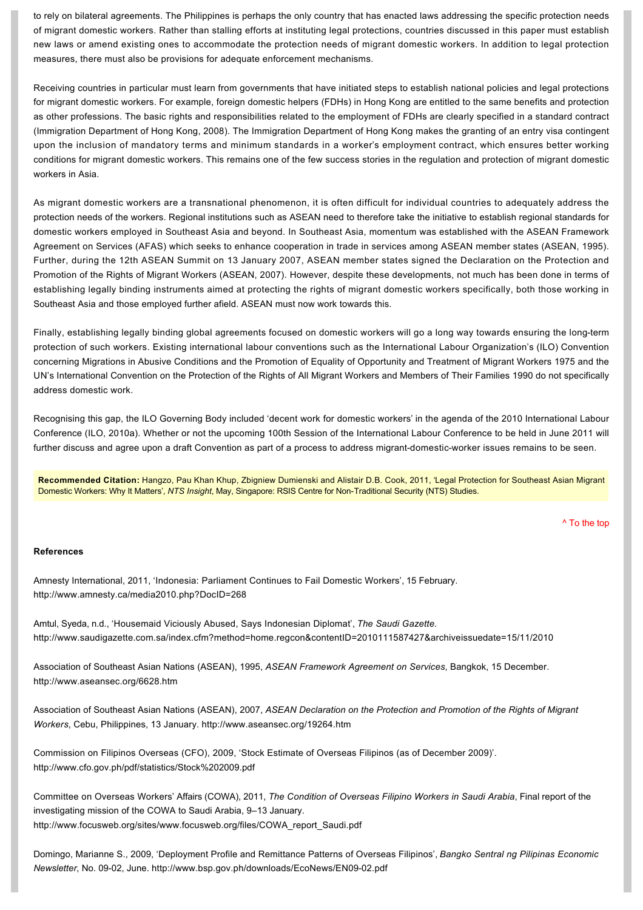to rely on bilateral agreements. The Philippines is perhaps the only country that has enacted laws addressing the specific protection needs of migrant domestic workers. Rather than stalling efforts at instituting legal protections, countries discussed in this paper must establish new laws or amend existing ones to accommodate the protection needs of migrant domestic workers. In addition to legal protection measures, there must also be provisions for adequate enforcement mechanisms.

Receiving countries in particular must learn from governments that have initiated steps to establish national policies and legal protections for migrant domestic workers. For example, foreign domestic helpers (FDHs) in Hong Kong are entitled to the same benefits and protection as other professions. The basic rights and responsibilities related to the employment of FDHs are clearly specified in a standard contract (Immigration Department of Hong Kong, 2008). The Immigration Department of Hong Kong makes the granting of an entry visa contingent upon the inclusion of mandatory terms and minimum standards in a worker's employment contract, which ensures better working conditions for migrant domestic workers. This remains one of the few success stories in the regulation and protection of migrant domestic workers in Asia.

As migrant domestic workers are a transnational phenomenon, it is often difficult for individual countries to adequately address the protection needs of the workers. Regional institutions such as ASEAN need to therefore take the initiative to establish regional standards for domestic workers employed in Southeast Asia and beyond. In Southeast Asia, momentum was established with the ASEAN Framework Agreement on Services (AFAS) which seeks to enhance cooperation in trade in services among ASEAN member states (ASEAN, 1995). Further, during the 12th ASEAN Summit on 13 January 2007, ASEAN member states signed the Declaration on the Protection and Promotion of the Rights of Migrant Workers (ASEAN, 2007). However, despite these developments, not much has been done in terms of establishing legally binding instruments aimed at protecting the rights of migrant domestic workers specifically, both those working in Southeast Asia and those employed further afield. ASEAN must now work towards this.

Finally, establishing legally binding global agreements focused on domestic workers will go a long way towards ensuring the long-term protection of such workers. Existing international labour conventions such as the International Labour Organization's (ILO) Convention concerning Migrations in Abusive Conditions and the Promotion of Equality of Opportunity and Treatment of Migrant Workers 1975 and the UN's International Convention on the Protection of the Rights of All Migrant Workers and Members of Their Families 1990 do not specifically address domestic work.

Recognising this gap, the ILO Governing Body included 'decent work for domestic workers' in the agenda of the 2010 International Labour Conference (ILO, 2010a). Whether or not the upcoming 100th Session of the International Labour Conference to be held in June 2011 will further discuss and agree upon a draft Convention as part of a process to address migrant-domestic-worker issues remains to be seen.

**Recommended Citation:** Hangzo, Pau Khan Khup, Zbigniew Dumienski and Alistair D.B. Cook, 2011, 'Legal Protection for Southeast Asian Migrant Domestic Workers: Why It Matters', NTS Insight, May, Singapore: RSIS Centre for Non-Traditional Security (NTS) Studies.

[^ To the top](#page-0-0)

### **References**

Amnesty International, 2011, 'Indonesia: Parliament Continues to Fail Domestic Workers', 15 February. <http://www.amnesty.ca/media2010.php?DocID=268>

Amtul, Syeda, n.d., 'Housemaid Viciously Abused, Says Indonesian Diplomat', *The Saudi Gazette*. <http://www.saudigazette.com.sa/index.cfm?method=home.regcon&contentID=2010111587427&archiveissuedate=15/11/2010>

Association of Southeast Asian Nations (ASEAN), 1995, *ASEAN Framework Agreement on Services*, Bangkok, 15 December. <http://www.aseansec.org/6628.htm>

Association of Southeast Asian Nations (ASEAN), 2007, *ASEAN Declaration on the Protection and Promotion of the Rights of Migrant Workers*, Cebu, Philippines, 13 January. <http://www.aseansec.org/19264.htm>

Commission on Filipinos Overseas (CFO), 2009, 'Stock Estimate of Overseas Filipinos (as of December 2009)'. <http://www.cfo.gov.ph/pdf/statistics/Stock%202009.pdf>

Committee on Overseas Workers' Affairs (COWA), 2011, *The Condition of Overseas Filipino Workers in Saudi Arabia*, Final report of the investigating mission of the COWA to Saudi Arabia, 9–13 January. [http://www.focusweb.org/sites/www.focusweb.org/files/COWA\\_report\\_Saudi.pdf](http://www.focusweb.org/sites/www.focusweb.org/files/COWA_report_Saudi.pdf)

Domingo, Marianne S., 2009, 'Deployment Profile and Remittance Patterns of Overseas Filipinos', *Bangko Sentral ng Pilipinas Economic Newsletter*, No. 09-02, June. http://www.bsp.gov.ph/downloads/EcoNews/EN09-02.pdf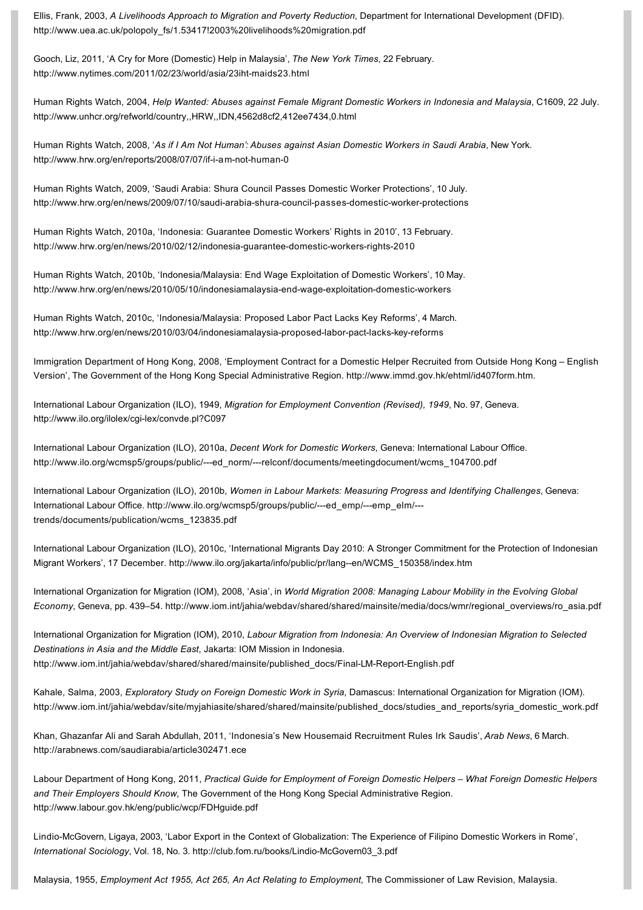Ellis, Frank, 2003, *A Livelihoods Approach to Migration and Poverty Reduction*, Department for International Development (DFID). [http://www.uea.ac.uk/polopoly\\_fs/1.53417!2003%20livelihoods%20migration.pdf](http://www.uea.ac.uk/polopoly_fs/1.53417!2003%20livelihoods%20migration.pdf)

Gooch, Liz, 2011, 'A Cry for More (Domestic) Help in Malaysia', *The New York Times*, 22 February. http://www.nytimes.com/2011/02/23/world/asia/23iht-maids23.html

Human Rights Watch, 2004, *Help Wanted: Abuses against Female Migrant Domestic Workers in Indonesia and Malaysia*, C1609, 22 July. <http://www.unhcr.org/refworld/country,,HRW,,IDN,4562d8cf2,412ee7434,0.html>

Human Rights Watch, 2008, '*As if I Am Not Human': Abuses against Asian Domestic Workers in Saudi Arabia*, New York. http://www.hrw.org/en/reports/2008/07/07/if-i-am-not-human-0

Human Rights Watch, 2009, 'Saudi Arabia: Shura Council Passes Domestic Worker Protections', 10 July. http://www.hrw.org/en/news/2009/07/10/saudi-arabia-shura-council-passes-domestic-worker-protections

Human Rights Watch, 2010a, 'Indonesia: Guarantee Domestic Workers' Rights in 2010', 13 February. http://www.hrw.org/en/news/2010/02/12/indonesia-guarantee-domestic-workers-rights-2010

Human Rights Watch, 2010b, 'Indonesia/Malaysia: End Wage Exploitation of Domestic Workers', 10 May. http://www.hrw.org/en/news/2010/05/10/indonesiamalaysia-end-wage-exploitation-domestic-workers

Human Rights Watch, 2010c, 'Indonesia/Malaysia: Proposed Labor Pact Lacks Key Reforms', 4 March. http://www.hrw.org/en/news/2010/03/04/indonesiamalaysia-proposed-labor-pact-lacks-key-reforms

Immigration Department of Hong Kong, 2008, 'Employment Contract for a Domestic Helper Recruited from Outside Hong Kong – English Version', The Government of the Hong Kong Special Administrative Region. <http://www.immd.gov.hk/ehtml/id407form.htm>.

International Labour Organization (ILO), 1949, *Migration for Employment Convention (Revised), 1949*, No. 97, Geneva. http://www.ilo.org/ilolex/cgi-lex/convde.pl?C097

International Labour Organization (ILO), 2010a, *Decent Work for Domestic Workers*, Geneva: International Labour Office. http://www.ilo.org/wcmsp5/groups/public/---ed\_norm/---relconf/documents/meetingdocument/wcms\_104700.pdf

International Labour Organization (ILO), 2010b, *Women in Labour Markets: Measuring Progress and Identifying Challenges*, Geneva: International Labour Office. http://www.ilo.org/wcmsp5/groups/public/---ed\_emp/---emp\_elm/--trends/documents/publication/wcms\_123835.pdf

International Labour Organization (ILO), 2010c, 'International Migrants Day 2010: A Stronger Commitment for the Protection of Indonesian Migrant Workers', 17 December. http://www.ilo.org/jakarta/info/public/pr/lang--en/WCMS\_150358/index.htm

International Organization for Migration (IOM), 2008, 'Asia', in *World Migration 2008: Managing Labour Mobility in the Evolving Global Economy*, Geneva, pp. 439–54. [http://www.iom.int/jahia/webdav/shared/shared/mainsite/media/docs/wmr/regional\\_overviews/ro\\_asia.pdf](http://www.iom.int/jahia/webdav/shared/shared/mainsite/media/docs/wmr/regional_overviews/ro_asia.pdf)

International Organization for Migration (IOM), 2010, *Labour Migration from Indonesia: An Overview of Indonesian Migration to Selected Destinations in Asia and the Middle East*, Jakarta: IOM Mission in Indonesia. http://www.iom.int/jahia/webdav/shared/shared/mainsite/published\_docs/Final-LM-Report-English.pdf

Kahale, Salma, 2003, *Exploratory Study on Foreign Domestic Work in Syria*, Damascus: International Organization for Migration (IOM). [http://www.iom.int/jahia/webdav/site/myjahiasite/shared/shared/mainsite/published\\_docs/studies\\_and\\_reports/syria\\_domestic\\_work.pdf](http://www.iom.int/jahia/webdav/site/myjahiasite/shared/shared/mainsite/published_docs/studies_and_reports/syria_domestic_work.pdf)

Khan, Ghazanfar Ali and Sarah Abdullah, 2011, 'Indonesia's New Housemaid Recruitment Rules Irk Saudis', *Arab News*, 6 March. <http://arabnews.com/saudiarabia/article302471.ece>

Labour Department of Hong Kong, 2011, *Practical Guide for Employment of Foreign Domestic Helpers – What Foreign Domestic Helpers and Their Employers Should Know*, The Government of the Hong Kong Special Administrative Region. <http://www.labour.gov.hk/eng/public/wcp/FDHguide.pdf>

Lindio-McGovern, Ligaya, 2003, 'Labor Export in the Context of Globalization: The Experience of Filipino Domestic Workers in Rome'. International Sociology, Vol. 18, No. 3. http://club.fom.ru/books/Lindio-McGovern03\_3.pdf

Malaysia, 1955, *Employment Act 1955, Act 265, An Act Relating to Employment*, The Commissioner of Law Revision, Malaysia.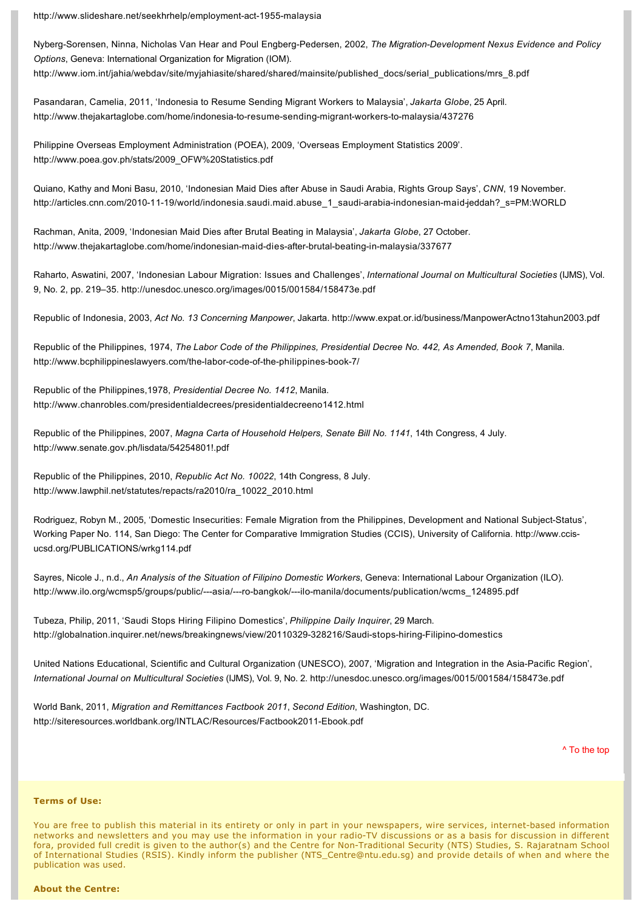http://www.slideshare.net/seekhrhelp/employment-act-1955-malaysia

Nyberg-Sorensen, Ninna, Nicholas Van Hear and Poul Engberg-Pedersen, 2002, *The Migration-Development Nexus Evidence and Policy Options*, Geneva: International Organization for Migration (IOM). [http://www.iom.int/jahia/webdav/site/myjahiasite/shared/shared/mainsite/published\\_docs/serial\\_publications/mrs\\_8.pdf](http://www.iom.int/jahia/webdav/site/myjahiasite/shared/shared/mainsite/published_docs/serial_publications/mrs_8.pdf)

Pasandaran, Camelia, 2011, 'Indonesia to Resume Sending Migrant Workers to Malaysia', *Jakarta Globe*, 25 April. http://www.thejakartaglobe.com/home/indonesia-to-resume-sending-migrant-workers-to-malaysia/437276

Philippine Overseas Employment Administration (POEA), 2009, 'Overseas Employment Statistics 2009'. [http://www.poea.gov.ph/stats/2009\\_OFW%20Statistics.pdf](http://www.poea.gov.ph/stats/2009_OFW%20Statistics.pdf)

Quiano, Kathy and Moni Basu, 2010, 'Indonesian Maid Dies after Abuse in Saudi Arabia, Rights Group Says', *CNN*, 19 November. http://articles.cnn.com/2010-11-19/world/indonesia.saudi.maid.abuse\_1\_saudi-arabia-indonesian-maid-jeddah?\_s=PM:WORLD

Rachman, Anita, 2009, 'Indonesian Maid Dies after Brutal Beating in Malaysia', *Jakarta Globe*, 27 October. http://www.thejakartaglobe.com/home/indonesian-maid-dies-after-brutal-beating-in-malaysia/337677

Raharto, Aswatini, 2007, 'Indonesian Labour Migration: Issues and Challenges', *International Journal on Multicultural Societies* (IJMS), Vol. 9, No. 2, pp. 219–35.<http://unesdoc.unesco.org/images/0015/001584/158473e.pdf>

Republic of Indonesia, 2003, *Act No. 13 Concerning Manpower*, Jakarta.<http://www.expat.or.id/business/ManpowerActno13tahun2003.pdf>

Republic of the Philippines, 1974, *The Labor Code of the Philippines, Presidential Decree No. 442, As Amended, Book 7*, Manila. http://www.bcphilippineslawyers.com/the-labor-code-of-the-philippines-book-7/

Republic of the Philippines,1978, *Presidential Decree No. 1412*, Manila. <http://www.chanrobles.com/presidentialdecrees/presidentialdecreeno1412.html>

Republic of the Philippines, 2007, *Magna Carta of Household Helpers, Senate Bill No. 1141*, 14th Congress, 4 July. <http://www.senate.gov.ph/lisdata/54254801!.pdf>

Republic of the Philippines, 2010, *Republic Act No. 10022*, 14th Congress, 8 July. [http://www.lawphil.net/statutes/repacts/ra2010/ra\\_10022\\_2010.html](http://www.lawphil.net/statutes/repacts/ra2010/ra_10022_2010.html)

Rodriguez, Robyn M., 2005, 'Domestic Insecurities: Female Migration from the Philippines, Development and National Subject-Status', [Working Paper No. 114, San Diego: The Center for Comparative Immigration Studies \(CCIS\), University of California. http://www.ccis](http://www.ccis-ucsd.org/PUBLICATIONS/wrkg114.pdf)ucsd.org/PUBLICATIONS/wrkg114.pdf

Sayres, Nicole J., n.d., *An Analysis of the Situation of Filipino Domestic Workers*, Geneva: International Labour Organization (ILO). http://www.ilo.org/wcmsp5/groups/public/---asia/---ro-bangkok/---ilo-manila/documents/publication/wcms\_124895.pdf

Tubeza, Philip, 2011, 'Saudi Stops Hiring Filipino Domestics', *Philippine Daily Inquirer*, 29 March. http://globalnation.inquirer.net/news/breakingnews/view/20110329-328216/Saudi-stops-hiring-Filipino-domestics

United Nations Educational, Scientific and Cultural Organization (UNESCO), 2007, 'Migration and Integration in the Asia-Pacific Region', *International Journal on Multicultural Societies* (IJMS), Vol. 9, No. 2. <http://unesdoc.unesco.org/images/0015/001584/158473e.pdf>

World Bank, 2011, *Migration and Remittances Factbook 2011*, *Second Edition*, Washington, DC. http://siteresources.worldbank.org/INTLAC/Resources/Factbook2011-Ebook.pdf

[^ To the top](#page-0-0)

### **Terms of Use:**

You are free to publish this material in its entirety or only in part in your newspapers, wire services, internet-based information networks and newsletters and you may use the information in your radio-TV discussions or as a basis for discussion in different fora, provided full credit is given to the author(s) and the Centre for Non-Traditional Security (NTS) Studies, S. Rajaratnam School of International Studies (RSIS). Kindly inform the publisher [\(NTS\\_Centre@ntu.edu.sg\)](mailto:NTS_Centre@ntu.edu.sg) and provide details of when and where the publication was used.